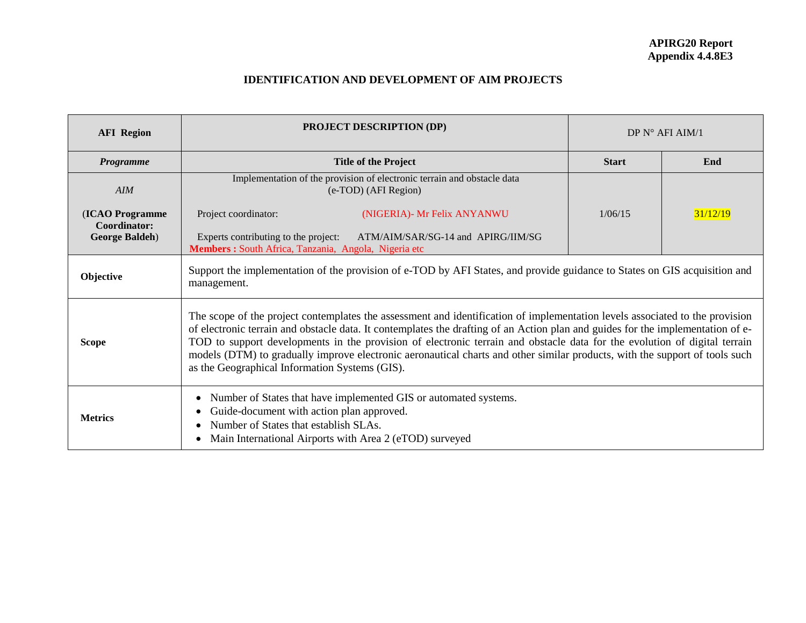## **IDENTIFICATION AND DEVELOPMENT OF AIM PROJECTS**

| <b>AFI Region</b>                                         | <b>PROJECT DESCRIPTION (DP)</b>                                                                                                                                                                                                                                                                                                                                                                                                                                                                                                                                               | DP $N^{\circ}$ AFI AIM/1 |          |  |  |
|-----------------------------------------------------------|-------------------------------------------------------------------------------------------------------------------------------------------------------------------------------------------------------------------------------------------------------------------------------------------------------------------------------------------------------------------------------------------------------------------------------------------------------------------------------------------------------------------------------------------------------------------------------|--------------------------|----------|--|--|
| <b>Programme</b>                                          | <b>Title of the Project</b>                                                                                                                                                                                                                                                                                                                                                                                                                                                                                                                                                   | <b>Start</b>             | End      |  |  |
| AIM                                                       | Implementation of the provision of electronic terrain and obstacle data<br>(e-TOD) (AFI Region)                                                                                                                                                                                                                                                                                                                                                                                                                                                                               |                          |          |  |  |
| (ICAO Programme<br>Coordinator:<br><b>George Baldeh</b> ) | Project coordinator:<br>(NIGERIA)- Mr Felix ANYANWU<br>Experts contributing to the project:<br>ATM/AIM/SAR/SG-14 and APIRG/IIM/SG<br>Members : South Africa, Tanzania, Angola, Nigeria etc                                                                                                                                                                                                                                                                                                                                                                                    | 1/06/15                  | 31/12/19 |  |  |
| Objective                                                 | Support the implementation of the provision of e-TOD by AFI States, and provide guidance to States on GIS acquisition and<br>management.                                                                                                                                                                                                                                                                                                                                                                                                                                      |                          |          |  |  |
| <b>Scope</b>                                              | The scope of the project contemplates the assessment and identification of implementation levels associated to the provision<br>of electronic terrain and obstacle data. It contemplates the drafting of an Action plan and guides for the implementation of e-<br>TOD to support developments in the provision of electronic terrain and obstacle data for the evolution of digital terrain<br>models (DTM) to gradually improve electronic aeronautical charts and other similar products, with the support of tools such<br>as the Geographical Information Systems (GIS). |                          |          |  |  |
| <b>Metrics</b>                                            | Number of States that have implemented GIS or automated systems.<br>Guide-document with action plan approved.<br>Number of States that establish SLAs.<br>Main International Airports with Area 2 (eTOD) surveyed                                                                                                                                                                                                                                                                                                                                                             |                          |          |  |  |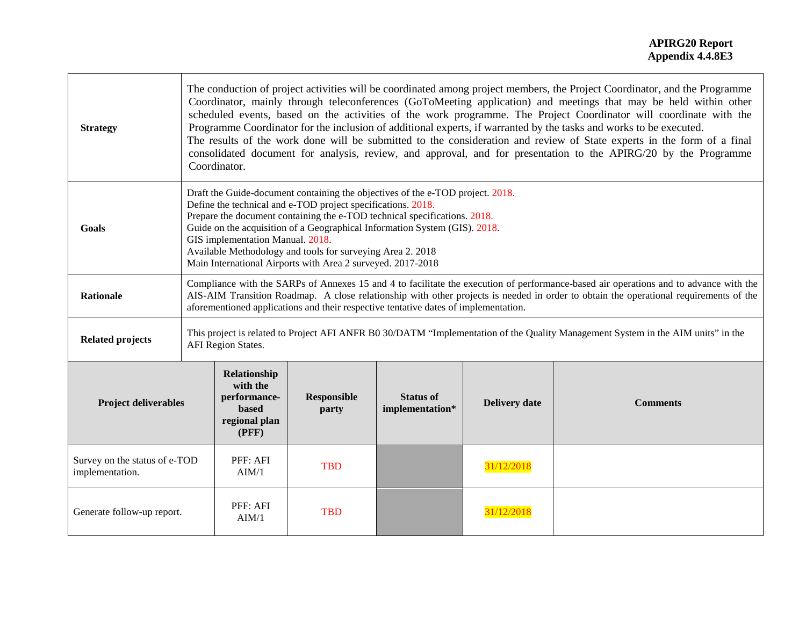| <b>Strategy</b>                                  | The conduction of project activities will be coordinated among project members, the Project Coordinator, and the Programme<br>Coordinator, mainly through teleconferences (GoToMeeting application) and meetings that may be held within other<br>scheduled events, based on the activities of the work programme. The Project Coordinator will coordinate with the<br>Programme Coordinator for the inclusion of additional experts, if warranted by the tasks and works to be executed.<br>The results of the work done will be submitted to the consideration and review of State experts in the form of a final<br>consolidated document for analysis, review, and approval, and for presentation to the APIRG/20 by the Programme<br>Coordinator. |                                                                                                                                                                                                                                                                                                                                                                                                                                                                            |                             |                                     |                      |                 |
|--------------------------------------------------|--------------------------------------------------------------------------------------------------------------------------------------------------------------------------------------------------------------------------------------------------------------------------------------------------------------------------------------------------------------------------------------------------------------------------------------------------------------------------------------------------------------------------------------------------------------------------------------------------------------------------------------------------------------------------------------------------------------------------------------------------------|----------------------------------------------------------------------------------------------------------------------------------------------------------------------------------------------------------------------------------------------------------------------------------------------------------------------------------------------------------------------------------------------------------------------------------------------------------------------------|-----------------------------|-------------------------------------|----------------------|-----------------|
| Goals                                            |                                                                                                                                                                                                                                                                                                                                                                                                                                                                                                                                                                                                                                                                                                                                                        | Draft the Guide-document containing the objectives of the e-TOD project. 2018.<br>Define the technical and e-TOD project specifications. 2018.<br>Prepare the document containing the e-TOD technical specifications. 2018.<br>Guide on the acquisition of a Geographical Information System (GIS). 2018.<br>GIS implementation Manual. 2018.<br>Available Methodology and tools for surveying Area 2. 2018<br>Main International Airports with Area 2 surveyed. 2017-2018 |                             |                                     |                      |                 |
| <b>Rationale</b>                                 |                                                                                                                                                                                                                                                                                                                                                                                                                                                                                                                                                                                                                                                                                                                                                        | Compliance with the SARPs of Annexes 15 and 4 to facilitate the execution of performance-based air operations and to advance with the<br>AIS-AIM Transition Roadmap. A close relationship with other projects is needed in order to obtain the operational requirements of the<br>aforementioned applications and their respective tentative dates of implementation.                                                                                                      |                             |                                     |                      |                 |
| <b>Related projects</b>                          | This project is related to Project AFI ANFR B0 30/DATM "Implementation of the Quality Management System in the AIM units" in the<br><b>AFI</b> Region States.                                                                                                                                                                                                                                                                                                                                                                                                                                                                                                                                                                                          |                                                                                                                                                                                                                                                                                                                                                                                                                                                                            |                             |                                     |                      |                 |
| <b>Project deliverables</b>                      |                                                                                                                                                                                                                                                                                                                                                                                                                                                                                                                                                                                                                                                                                                                                                        | Relationship<br>with the<br>performance-<br>based<br>regional plan<br>(PFF)                                                                                                                                                                                                                                                                                                                                                                                                | <b>Responsible</b><br>party | <b>Status of</b><br>implementation* | <b>Delivery date</b> | <b>Comments</b> |
| Survey on the status of e-TOD<br>implementation. |                                                                                                                                                                                                                                                                                                                                                                                                                                                                                                                                                                                                                                                                                                                                                        | PFF: AFI<br>AIM/1                                                                                                                                                                                                                                                                                                                                                                                                                                                          | <b>TBD</b>                  |                                     | 31/12/2018           |                 |
| Generate follow-up report.                       |                                                                                                                                                                                                                                                                                                                                                                                                                                                                                                                                                                                                                                                                                                                                                        | PFF: AFI<br>AIM/1                                                                                                                                                                                                                                                                                                                                                                                                                                                          | <b>TBD</b>                  |                                     | 31/12/2018           |                 |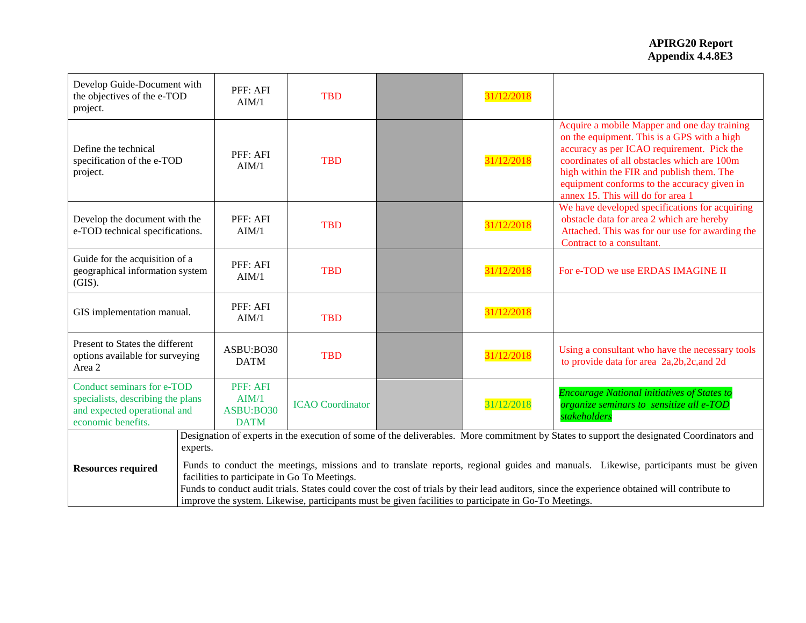| Develop Guide-Document with<br>the objectives of the e-TOD<br>project.                                                |          | PFF: AFI<br>AIM/1                                                                                                                                                                                                                                                                                                                                                                                                                             | <b>TBD</b>              |  | 31/12/2018 |                                                                                                                                                                                                                                                                                                                           |
|-----------------------------------------------------------------------------------------------------------------------|----------|-----------------------------------------------------------------------------------------------------------------------------------------------------------------------------------------------------------------------------------------------------------------------------------------------------------------------------------------------------------------------------------------------------------------------------------------------|-------------------------|--|------------|---------------------------------------------------------------------------------------------------------------------------------------------------------------------------------------------------------------------------------------------------------------------------------------------------------------------------|
| Define the technical<br>specification of the e-TOD<br>project.                                                        |          | PFF: AFI<br>AIM/1                                                                                                                                                                                                                                                                                                                                                                                                                             | <b>TBD</b>              |  | 31/12/2018 | Acquire a mobile Mapper and one day training<br>on the equipment. This is a GPS with a high<br>accuracy as per ICAO requirement. Pick the<br>coordinates of all obstacles which are 100m<br>high within the FIR and publish them. The<br>equipment conforms to the accuracy given in<br>annex 15. This will do for area 1 |
| Develop the document with the<br>e-TOD technical specifications.                                                      |          | PFF: AFI<br>AIM/1                                                                                                                                                                                                                                                                                                                                                                                                                             | <b>TBD</b>              |  | 31/12/2018 | We have developed specifications for acquiring<br>obstacle data for area 2 which are hereby<br>Attached. This was for our use for awarding the<br>Contract to a consultant.                                                                                                                                               |
| Guide for the acquisition of a<br>geographical information system<br>(GIS).                                           |          | PFF: AFI<br>AIM/1                                                                                                                                                                                                                                                                                                                                                                                                                             | <b>TBD</b>              |  | 31/12/2018 | For e-TOD we use ERDAS IMAGINE II                                                                                                                                                                                                                                                                                         |
| GIS implementation manual.                                                                                            |          | PFF: AFI<br>AIM/1                                                                                                                                                                                                                                                                                                                                                                                                                             | <b>TBD</b>              |  | 31/12/2018 |                                                                                                                                                                                                                                                                                                                           |
| Present to States the different<br>options available for surveying<br>Area 2                                          |          | ASBU:BO30<br><b>DATM</b>                                                                                                                                                                                                                                                                                                                                                                                                                      | <b>TBD</b>              |  | 31/12/2018 | Using a consultant who have the necessary tools<br>to provide data for area 2a, 2b, 2c, and 2d                                                                                                                                                                                                                            |
| Conduct seminars for e-TOD<br>specialists, describing the plans<br>and expected operational and<br>economic benefits. |          | PFF: AFI<br>AIM/1<br>ASBU:BO30<br><b>DATM</b>                                                                                                                                                                                                                                                                                                                                                                                                 | <b>ICAO</b> Coordinator |  | 31/12/2018 | <b>Encourage National initiatives of States to</b><br>organize seminars to sensitize all e-TOD<br>stakeholders                                                                                                                                                                                                            |
|                                                                                                                       | experts. |                                                                                                                                                                                                                                                                                                                                                                                                                                               |                         |  |            | Designation of experts in the execution of some of the deliverables. More commitment by States to support the designated Coordinators and                                                                                                                                                                                 |
| <b>Resources required</b>                                                                                             |          | Funds to conduct the meetings, missions and to translate reports, regional guides and manuals. Likewise, participants must be given<br>facilities to participate in Go To Meetings.<br>Funds to conduct audit trials. States could cover the cost of trials by their lead auditors, since the experience obtained will contribute to<br>improve the system. Likewise, participants must be given facilities to participate in Go-To Meetings. |                         |  |            |                                                                                                                                                                                                                                                                                                                           |